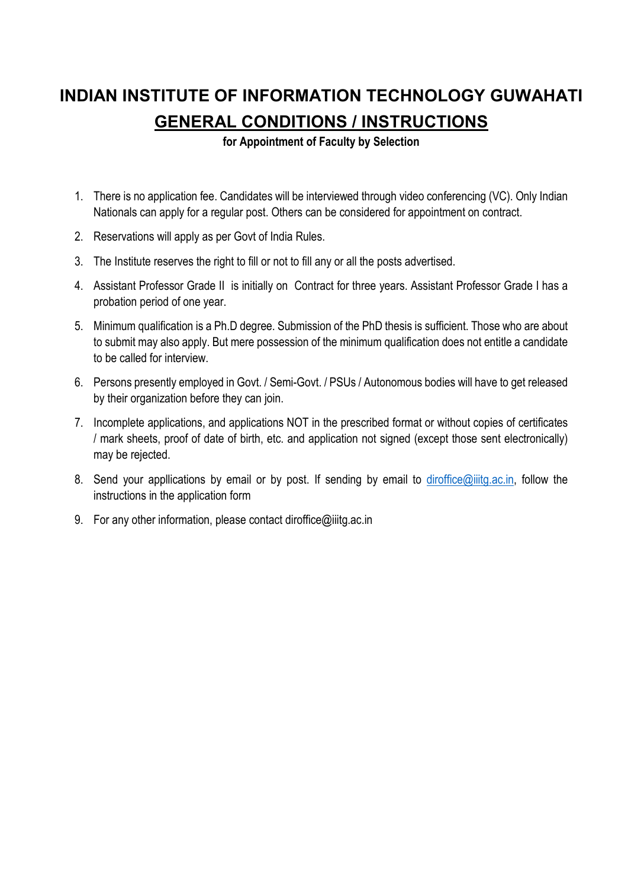# **INDIAN INSTITUTE OF INFORMATION TECHNOLOGY GUWAHATI GENERAL CONDITIONS / INSTRUCTIONS**

**for Appointment of Faculty by Selection**

- 1. There is no application fee. Candidates will be interviewed through video conferencing (VC). Only Indian Nationals can apply for a regular post. Others can be considered for appointment on contract.
- 2. Reservations will apply as per Govt of India Rules.
- 3. The Institute reserves the right to fill or not to fill any or all the posts advertised.
- 4. Assistant Professor Grade II is initially on Contract for three years. Assistant Professor Grade I has a probation period of one year.
- 5. Minimum qualification is a Ph.D degree. Submission of the PhD thesis is sufficient. Those who are about to submit may also apply. But mere possession of the minimum qualification does not entitle a candidate to be called for interview.
- 6. Persons presently employed in Govt. / Semi-Govt. / PSUs / Autonomous bodies will have to get released by their organization before they can join.
- 7. Incomplete applications, and applications NOT in the prescribed format or without copies of certificates / mark sheets, proof of date of birth, etc. and application not signed (except those sent electronically) may be rejected.
- 8. Send your appllications by email or by post. If sending by email to diroffice@iiitg.ac.in, follow the instructions in the application form
- 9. For any other information, please contact diroffice@iiitg.ac.in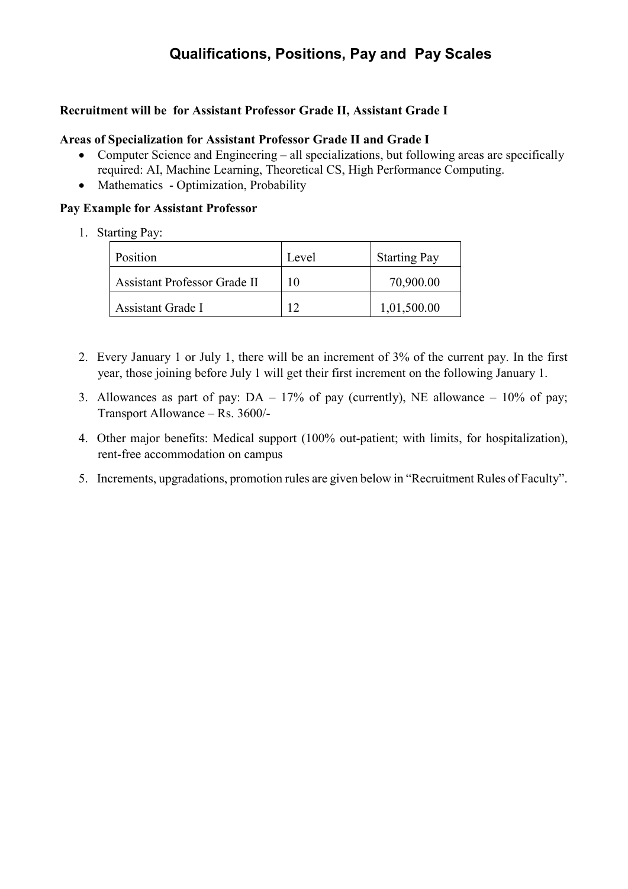## **Qualifications, Positions, Pay and Pay Scales**

#### **Recruitment will be for Assistant Professor Grade II, Assistant Grade I**

#### **Areas of Specialization for Assistant Professor Grade II and Grade I**

- Computer Science and Engineering all specializations, but following areas are specifically required: AI, Machine Learning, Theoretical CS, High Performance Computing.
- Mathematics Optimization, Probability

#### **Pay Example for Assistant Professor**

1. Starting Pay:

| Position                     | Level | <b>Starting Pay</b> |
|------------------------------|-------|---------------------|
| Assistant Professor Grade II | 10    | 70,900.00           |
| Assistant Grade I            |       | 1,01,500.00         |

- 2. Every January 1 or July 1, there will be an increment of 3% of the current pay. In the first year, those joining before July 1 will get their first increment on the following January 1.
- 3. Allowances as part of pay:  $DA 17%$  of pay (currently), NE allowance  $-10%$  of pay; Transport Allowance – Rs. 3600/-
- 4. Other major benefits: Medical support (100% out-patient; with limits, for hospitalization), rent-free accommodation on campus
- 5. Increments, upgradations, promotion rules are given below in "Recruitment Rules of Faculty".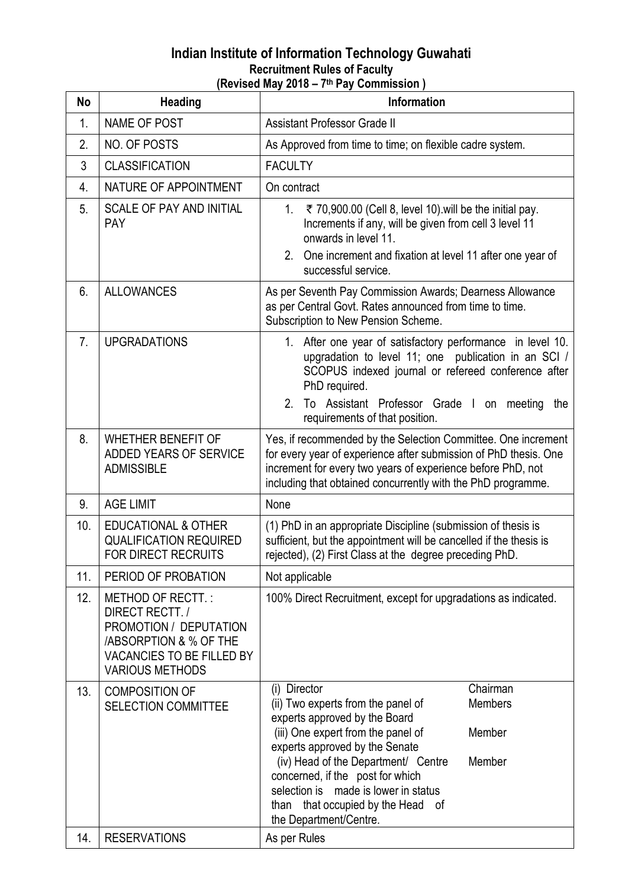### **Indian Institute of Information Technology Guwahati Recruitment Rules of Faculty (Revised May 2018 – 7th Pay Commission )**

| No             | <b>Heading</b>                                                                                                                                                   | ן ועטוען בעוויונאטוויך<br><u>oommooron</u><br>Information                                                                                                                                                                                                                                                                                                                                          |
|----------------|------------------------------------------------------------------------------------------------------------------------------------------------------------------|----------------------------------------------------------------------------------------------------------------------------------------------------------------------------------------------------------------------------------------------------------------------------------------------------------------------------------------------------------------------------------------------------|
| 1.             | <b>NAME OF POST</b>                                                                                                                                              | <b>Assistant Professor Grade II</b>                                                                                                                                                                                                                                                                                                                                                                |
| 2.             | <b>NO. OF POSTS</b>                                                                                                                                              | As Approved from time to time; on flexible cadre system.                                                                                                                                                                                                                                                                                                                                           |
| 3              | <b>CLASSIFICATION</b>                                                                                                                                            | <b>FACULTY</b>                                                                                                                                                                                                                                                                                                                                                                                     |
| 4.             | NATURE OF APPOINTMENT                                                                                                                                            | On contract                                                                                                                                                                                                                                                                                                                                                                                        |
| 5.             | <b>SCALE OF PAY AND INITIAL</b><br><b>PAY</b>                                                                                                                    | ₹ 70,900.00 (Cell 8, level 10) will be the initial pay.<br>$1_{-}$<br>Increments if any, will be given from cell 3 level 11<br>onwards in level 11.<br>2. One increment and fixation at level 11 after one year of<br>successful service.                                                                                                                                                          |
| 6.             | <b>ALLOWANCES</b>                                                                                                                                                | As per Seventh Pay Commission Awards; Dearness Allowance<br>as per Central Govt. Rates announced from time to time.<br>Subscription to New Pension Scheme.                                                                                                                                                                                                                                         |
| 7 <sub>1</sub> | <b>UPGRADATIONS</b>                                                                                                                                              | 1. After one year of satisfactory performance in level 10.<br>upgradation to level 11; one publication in an SCI /<br>SCOPUS indexed journal or refereed conference after<br>PhD required.<br>2 <sub>1</sub><br>To Assistant Professor Grade I on meeting the<br>requirements of that position.                                                                                                    |
| 8.             | <b>WHETHER BENEFIT OF</b><br>ADDED YEARS OF SERVICE<br><b>ADMISSIBLE</b>                                                                                         | Yes, if recommended by the Selection Committee. One increment<br>for every year of experience after submission of PhD thesis. One<br>increment for every two years of experience before PhD, not<br>including that obtained concurrently with the PhD programme.                                                                                                                                   |
| 9.             | <b>AGE LIMIT</b>                                                                                                                                                 | None                                                                                                                                                                                                                                                                                                                                                                                               |
| 10.            | <b>EDUCATIONAL &amp; OTHER</b><br><b>QUALIFICATION REQUIRED</b><br>FOR DIRECT RECRUITS                                                                           | (1) PhD in an appropriate Discipline (submission of thesis is<br>sufficient, but the appointment will be cancelled if the thesis is<br>rejected), (2) First Class at the degree preceding PhD.                                                                                                                                                                                                     |
| 11.            | PERIOD OF PROBATION                                                                                                                                              | Not applicable                                                                                                                                                                                                                                                                                                                                                                                     |
| 12.            | METHOD OF RECTT.:<br>DIRECT RECTT./<br>PROMOTION / DEPUTATION<br><b>/ABSORPTION &amp; % OF THE</b><br><b>VACANCIES TO BE FILLED BY</b><br><b>VARIOUS METHODS</b> | 100% Direct Recruitment, except for upgradations as indicated.                                                                                                                                                                                                                                                                                                                                     |
| 13.            | <b>COMPOSITION OF</b><br><b>SELECTION COMMITTEE</b>                                                                                                              | Chairman<br>(i) Director<br>(ii) Two experts from the panel of<br><b>Members</b><br>experts approved by the Board<br>(iii) One expert from the panel of<br>Member<br>experts approved by the Senate<br>(iv) Head of the Department/ Centre<br>Member<br>concerned, if the post for which<br>selection is made is lower in status<br>that occupied by the Head of<br>than<br>the Department/Centre. |
| 14.            | <b>RESERVATIONS</b>                                                                                                                                              | As per Rules                                                                                                                                                                                                                                                                                                                                                                                       |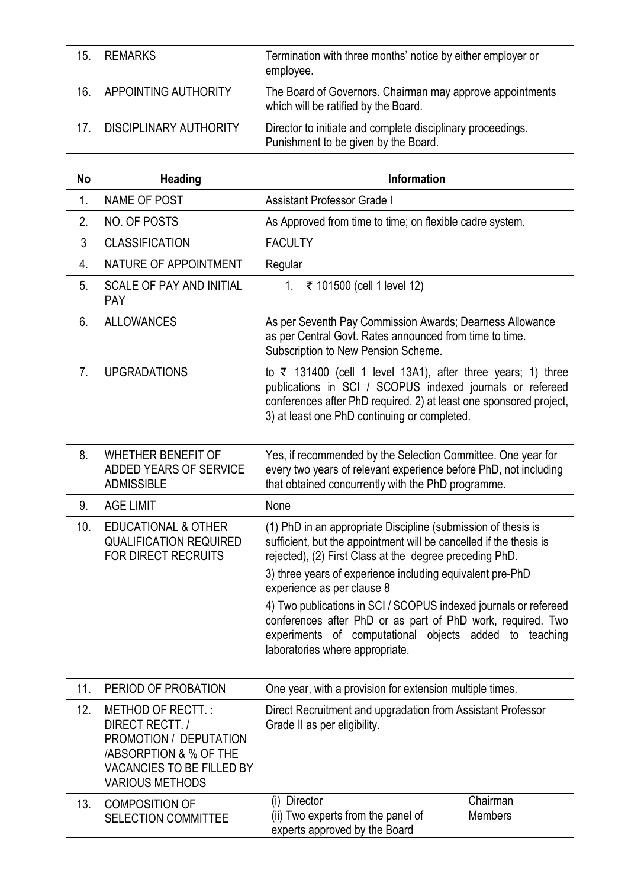| 15. | <b>REMARKS</b>                | Termination with three months' notice by either employer or<br>employee.                            |
|-----|-------------------------------|-----------------------------------------------------------------------------------------------------|
| 16. | APPOINTING AUTHORITY          | The Board of Governors. Chairman may approve appointments<br>which will be ratified by the Board.   |
| 17. | <b>DISCIPLINARY AUTHORITY</b> | Director to initiate and complete disciplinary proceedings.<br>Punishment to be given by the Board. |

| No             | Heading                                                                                                                                                          | <b>Information</b>                                                                                                                                                                                                                                                                                                                                                                                                                                                                                                        |
|----------------|------------------------------------------------------------------------------------------------------------------------------------------------------------------|---------------------------------------------------------------------------------------------------------------------------------------------------------------------------------------------------------------------------------------------------------------------------------------------------------------------------------------------------------------------------------------------------------------------------------------------------------------------------------------------------------------------------|
| 1.             | <b>NAME OF POST</b>                                                                                                                                              | <b>Assistant Professor Grade I</b>                                                                                                                                                                                                                                                                                                                                                                                                                                                                                        |
| 2.             | NO. OF POSTS                                                                                                                                                     | As Approved from time to time; on flexible cadre system.                                                                                                                                                                                                                                                                                                                                                                                                                                                                  |
| 3              | <b>CLASSIFICATION</b>                                                                                                                                            | <b>FACULTY</b>                                                                                                                                                                                                                                                                                                                                                                                                                                                                                                            |
| 4.             | NATURE OF APPOINTMENT                                                                                                                                            | Regular                                                                                                                                                                                                                                                                                                                                                                                                                                                                                                                   |
| 5.             | <b>SCALE OF PAY AND INITIAL</b><br><b>PAY</b>                                                                                                                    | 1. ₹ 101500 (cell 1 level 12)                                                                                                                                                                                                                                                                                                                                                                                                                                                                                             |
| 6.             | <b>ALLOWANCES</b>                                                                                                                                                | As per Seventh Pay Commission Awards; Dearness Allowance<br>as per Central Govt. Rates announced from time to time.<br>Subscription to New Pension Scheme.                                                                                                                                                                                                                                                                                                                                                                |
| 7 <sub>1</sub> | <b>UPGRADATIONS</b>                                                                                                                                              | to $\bar{\tau}$ 131400 (cell 1 level 13A1), after three years; 1) three<br>publications in SCI / SCOPUS indexed journals or refereed<br>conferences after PhD required. 2) at least one sponsored project,<br>3) at least one PhD continuing or completed.                                                                                                                                                                                                                                                                |
| 8.             | WHETHER BENEFIT OF<br>ADDED YEARS OF SERVICE<br><b>ADMISSIBLE</b>                                                                                                | Yes, if recommended by the Selection Committee. One year for<br>every two years of relevant experience before PhD, not including<br>that obtained concurrently with the PhD programme.                                                                                                                                                                                                                                                                                                                                    |
| 9.             | <b>AGE LIMIT</b>                                                                                                                                                 | None                                                                                                                                                                                                                                                                                                                                                                                                                                                                                                                      |
| 10.            | <b>EDUCATIONAL &amp; OTHER</b><br><b>QUALIFICATION REQUIRED</b><br><b>FOR DIRECT RECRUITS</b>                                                                    | (1) PhD in an appropriate Discipline (submission of thesis is<br>sufficient, but the appointment will be cancelled if the thesis is<br>rejected), (2) First Class at the degree preceding PhD.<br>3) three years of experience including equivalent pre-PhD<br>experience as per clause 8<br>4) Two publications in SCI / SCOPUS indexed journals or refereed<br>conferences after PhD or as part of PhD work, required. Two<br>experiments of computational objects added to teaching<br>laboratories where appropriate. |
| 11.            | PERIOD OF PROBATION                                                                                                                                              | One year, with a provision for extension multiple times.                                                                                                                                                                                                                                                                                                                                                                                                                                                                  |
| 12.            | METHOD OF RECTT.:<br>DIRECT RECTT./<br>PROMOTION / DEPUTATION<br><b>/ABSORPTION &amp; % OF THE</b><br><b>VACANCIES TO BE FILLED BY</b><br><b>VARIOUS METHODS</b> | Direct Recruitment and upgradation from Assistant Professor<br>Grade II as per eligibility.                                                                                                                                                                                                                                                                                                                                                                                                                               |
| 13.            | <b>COMPOSITION OF</b><br><b>SELECTION COMMITTEE</b>                                                                                                              | Chairman<br>(i) Director<br>(ii) Two experts from the panel of<br><b>Members</b><br>experts approved by the Board                                                                                                                                                                                                                                                                                                                                                                                                         |